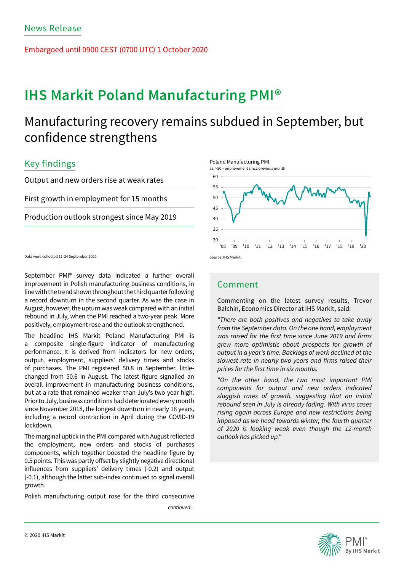Embargoed until 0900 CEST (0700 UTC) 1 October 2020

# **IHS Markit Poland Manufacturing PMI®**

# Manufacturing recovery remains subdued in September, but confidence strengthens

# Key findings

Output and new orders rise at weak rates

First growth in employment for 15 months

Production outlook strongest since May 2019

Data were collected 11-24 September 2020.

September PMI® survey data indicated a further overall improvement in Polish manufacturing business conditions, in line with the trend shown throughout the third quarter following a record downturn in the second quarter. As was the case in August, however, the upturn was weak compared with an initial rebound in July, when the PMI reached a two-year peak. More positively, employment rose and the outlook strengthened.

The headline IHS Markit Poland Manufacturing PMI is a composite single-figure indicator of manufacturing performance. It is derived from indicators for new orders, output, employment, suppliers' delivery times and stocks of purchases. The PMI registered 50.8 in September, littlechanged from 50.6 in August. The latest figure signalled an overall improvement in manufacturing business conditions, but at a rate that remained weaker than July's two-year high. Prior to July, business conditions had deteriorated every month since November 2018, the longest downturn in nearly 18 years, including a record contraction in April during the COVID-19 lockdown.

The marginal uptick in the PMI compared with August reflected the employment, new orders and stocks of purchases components, which together boosted the headline figure by 0.5 points. This was partly offset by slightly negative directional influences from suppliers' delivery times (-0.2) and output (-0.1), although the latter sub-index continued to signal overall growth.

Polish manufacturing output rose for the third consecutive

continued...



## Comment

Commenting on the latest survey results, Trevor Balchin, Economics Director at IHS Markit, said:

*"There are both positives and negatives to take away from the September data. On the one hand, employment*  was raised for the first time since June 2019 and firms grew more optimistic about prospects for growth of output in a year's time. Backlogs of work declined at the slowest rate in nearly two years and firms raised their prices for the first time in six months.

*"On the other hand, the two most important PMI*  components for output and new orders indicated sluggish rates of growth, suggesting that an initial rebound seen in July is already fading. With virus cases rising again across Europe and new restrictions being imposed as we head towards winter, the fourth quarter of 2020 is looking weak even though the 12-month outlook has picked up."